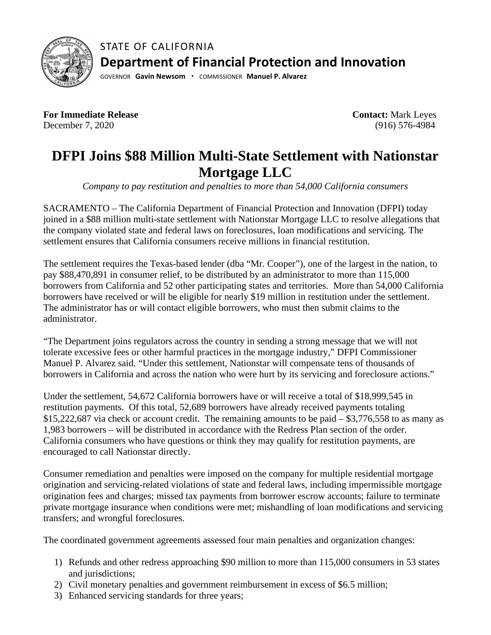

STATE OF CALIFORNIA **Department of Financial Protection and Innovation**

GOVERNOR **Gavin Newsom ·** COMMISSIONER **Manuel P. Alvarez**

**For Immediate Release**  December 7, 2020

 **Contact:** Mark Leyes (916) 576-4984

## **DFPI Joins \$88 Million Multi-State Settlement with Nationstar Mortgage LLC**

*Company to pay restitution and penalties to more than 54,000 California consumers*

SACRAMENTO – The California Department of Financial Protection and Innovation (DFPI) today joined in a \$88 million multi-state settlement with Nationstar Mortgage LLC to resolve allegations that the company violated state and federal laws on foreclosures, loan modifications and servicing. The settlement ensures that California consumers receive millions in financial restitution.

The settlement requires the Texas-based lender (dba "Mr. Cooper"), one of the largest in the nation, to pay \$88,470,891 in consumer relief, to be distributed by an administrator to more than 115,000 borrowers from California and 52 other participating states and territories. More than 54,000 California borrowers have received or will be eligible for nearly \$19 million in restitution under the settlement. The administrator has or will contact eligible borrowers, who must then submit claims to the administrator.

"The Department joins regulators across the country in sending a strong message that we will not tolerate excessive fees or other harmful practices in the mortgage industry," DFPI Commissioner Manuel P. Alvarez said. "Under this settlement, Nationstar will compensate tens of thousands of borrowers in California and across the nation who were hurt by its servicing and foreclosure actions."

Under the settlement, 54,672 California borrowers have or will receive a total of \$18,999,545 in restitution payments. Of this total, 52,689 borrowers have already received payments totaling \$15,222,687 via check or account credit. The remaining amounts to be paid – \$3,776,558 to as many as 1,983 borrowers – will be distributed in accordance with the Redress Plan section of the order. California consumers who have questions or think they may qualify for restitution payments, are encouraged to call Nationstar directly.

Consumer remediation and penalties were imposed on the company for multiple residential mortgage origination and servicing-related violations of state and federal laws, including impermissible mortgage origination fees and charges; missed tax payments from borrower escrow accounts; failure to terminate private mortgage insurance when conditions were met; mishandling of loan modifications and servicing transfers; and wrongful foreclosures.

The coordinated government agreements assessed four main penalties and organization changes:

- 1) Refunds and other redress approaching \$90 million to more than 115,000 consumers in 53 states and jurisdictions;
- 2) Civil monetary penalties and government reimbursement in excess of \$6.5 million;
- 3) Enhanced servicing standards for three years;